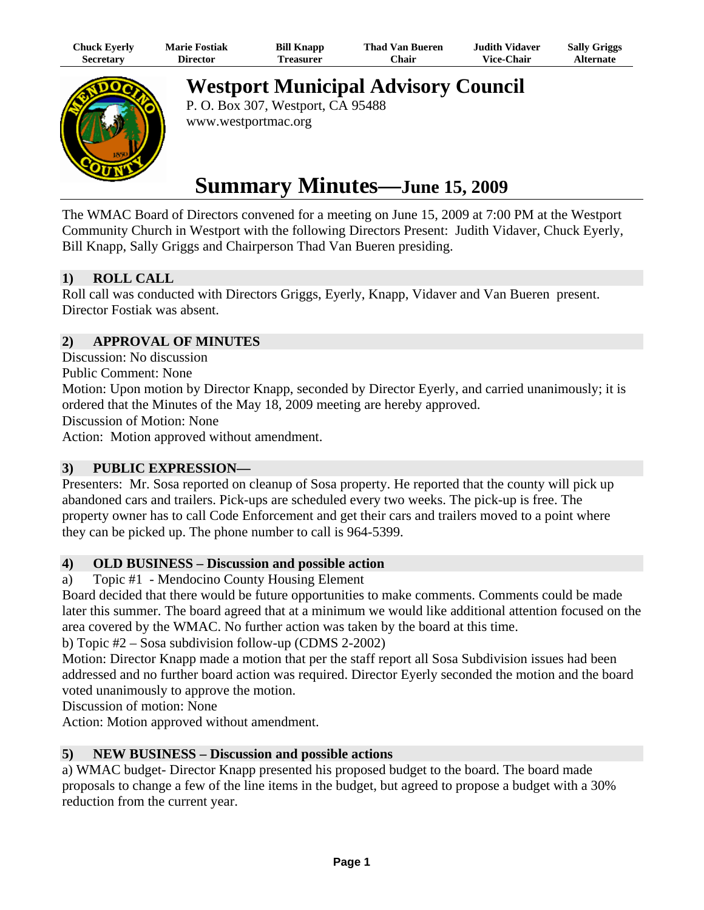| Chuck Eyerly | <b>Marie Fostiak</b> | <b>Bill Knapp</b> | <b>Thad Van Bueren</b> | <b>Judith Vidaver</b> | <b>Sally Griggs</b> |
|--------------|----------------------|-------------------|------------------------|-----------------------|---------------------|
| Secretarv    | <b>Director</b>      | Treasurer         | <b>Chair</b>           | <b>Vice-Chair</b>     | Alternate           |



**Westport Municipal Advisory Council** 

P. O. Box 307, Westport, CA 95488 www.westportmac.org

# **Summary Minutes—June 15, 2009**

The WMAC Board of Directors convened for a meeting on June 15, 2009 at 7:00 PM at the Westport Community Church in Westport with the following Directors Present: Judith Vidaver, Chuck Eyerly, Bill Knapp, Sally Griggs and Chairperson Thad Van Bueren presiding.

## **1) ROLL CALL**

Roll call was conducted with Directors Griggs, Eyerly, Knapp, Vidaver and Van Bueren present. Director Fostiak was absent.

## **2) APPROVAL OF MINUTES**

Discussion: No discussion

Public Comment: None

Motion: Upon motion by Director Knapp, seconded by Director Eyerly, and carried unanimously; it is ordered that the Minutes of the May 18, 2009 meeting are hereby approved.

Discussion of Motion: None

Action: Motion approved without amendment.

## **3) PUBLIC EXPRESSION—**

Presenters: Mr. Sosa reported on cleanup of Sosa property. He reported that the county will pick up abandoned cars and trailers. Pick-ups are scheduled every two weeks. The pick-up is free. The property owner has to call Code Enforcement and get their cars and trailers moved to a point where they can be picked up. The phone number to call is 964-5399.

## **4) OLD BUSINESS – Discussion and possible action**

a) Topic #1 - Mendocino County Housing Element

Board decided that there would be future opportunities to make comments. Comments could be made later this summer. The board agreed that at a minimum we would like additional attention focused on the area covered by the WMAC. No further action was taken by the board at this time.

b) Topic #2 – Sosa subdivision follow-up (CDMS 2-2002)

Motion: Director Knapp made a motion that per the staff report all Sosa Subdivision issues had been addressed and no further board action was required. Director Eyerly seconded the motion and the board voted unanimously to approve the motion.

Discussion of motion: None

Action: Motion approved without amendment.

## **5) NEW BUSINESS – Discussion and possible actions**

a) WMAC budget- Director Knapp presented his proposed budget to the board. The board made proposals to change a few of the line items in the budget, but agreed to propose a budget with a 30% reduction from the current year.